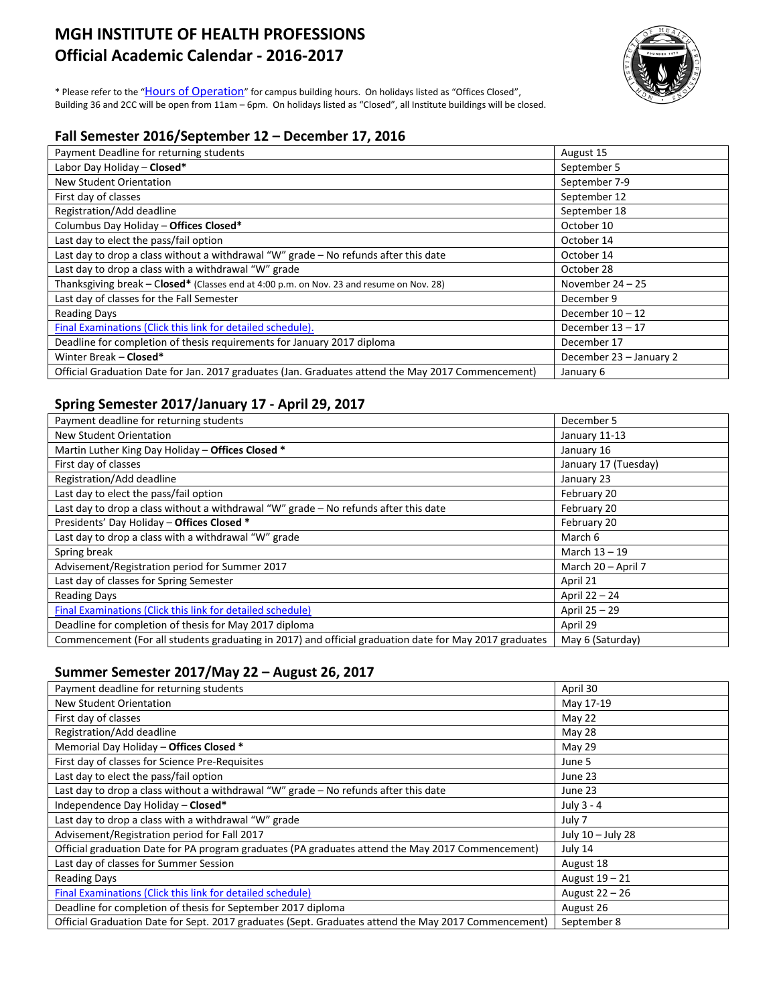# **MGH INSTITUTE OF HEALTH PROFESSIONS Official Academic Calendar - 2016-2017**



\* Please refer to the ["Hours of Operation"](http://www.mghihp.edu/about-us/offices-and-services/facilities/hours.aspx) for campus building hours. On holidays listed as "Offices Closed", Building 36 and 2CC will be open from 11am – 6pm. On holidays listed as "Closed", all Institute buildings will be closed.

## **Fall Semester 2016/September 12 – December 17, 2016**

| Payment Deadline for returning students                                                            | August 15               |
|----------------------------------------------------------------------------------------------------|-------------------------|
| Labor Day Holiday - Closed*                                                                        | September 5             |
| New Student Orientation                                                                            | September 7-9           |
| First day of classes                                                                               | September 12            |
| Registration/Add deadline                                                                          | September 18            |
| Columbus Day Holiday - Offices Closed*                                                             | October 10              |
| Last day to elect the pass/fail option                                                             | October 14              |
| Last day to drop a class without a withdrawal "W" grade - No refunds after this date               | October 14              |
| Last day to drop a class with a withdrawal "W" grade                                               | October 28              |
| Thanksgiving break - Closed* (Classes end at 4:00 p.m. on Nov. 23 and resume on Nov. 28)           | November $24 - 25$      |
| Last day of classes for the Fall Semester                                                          | December 9              |
| <b>Reading Days</b>                                                                                | December $10 - 12$      |
| Final Examinations (Click this link for detailed schedule).                                        | December $13 - 17$      |
| Deadline for completion of thesis requirements for January 2017 diploma                            | December 17             |
| Winter Break - Closed*                                                                             | December 23 - January 2 |
| Official Graduation Date for Jan. 2017 graduates (Jan. Graduates attend the May 2017 Commencement) | January 6               |

# **Spring Semester 2017/January 17 - April 29, 2017**

| Payment deadline for returning students                                                                | December 5           |
|--------------------------------------------------------------------------------------------------------|----------------------|
| New Student Orientation                                                                                | January 11-13        |
| Martin Luther King Day Holiday - Offices Closed *                                                      | January 16           |
| First day of classes                                                                                   | January 17 (Tuesday) |
| Registration/Add deadline                                                                              | January 23           |
| Last day to elect the pass/fail option                                                                 | February 20          |
| Last day to drop a class without a withdrawal "W" grade - No refunds after this date                   | February 20          |
| Presidents' Day Holiday - Offices Closed *                                                             | February 20          |
| Last day to drop a class with a withdrawal "W" grade                                                   | March 6              |
| Spring break                                                                                           | March 13 - 19        |
| Advisement/Registration period for Summer 2017                                                         | March 20 - April 7   |
| Last day of classes for Spring Semester                                                                | April 21             |
| <b>Reading Days</b>                                                                                    | April 22 - 24        |
| Final Examinations (Click this link for detailed schedule)                                             | April 25 - 29        |
| Deadline for completion of thesis for May 2017 diploma                                                 | April 29             |
| Commencement (For all students graduating in 2017) and official graduation date for May 2017 graduates | May 6 (Saturday)     |

# **Summer Semester 2017/May 22 – August 26, 2017**

| Payment deadline for returning students                                                              | April 30          |
|------------------------------------------------------------------------------------------------------|-------------------|
| New Student Orientation                                                                              | May 17-19         |
| First day of classes                                                                                 | May 22            |
| Registration/Add deadline                                                                            | May 28            |
| Memorial Day Holiday - Offices Closed *                                                              | May 29            |
| First day of classes for Science Pre-Requisites                                                      | June 5            |
| Last day to elect the pass/fail option                                                               | June 23           |
| Last day to drop a class without a withdrawal "W" grade - No refunds after this date                 | June 23           |
| Independence Day Holiday - Closed*                                                                   | July 3 - 4        |
| Last day to drop a class with a withdrawal "W" grade                                                 | July 7            |
| Advisement/Registration period for Fall 2017                                                         | July 10 - July 28 |
| Official graduation Date for PA program graduates (PA graduates attend the May 2017 Commencement)    | July 14           |
| Last day of classes for Summer Session                                                               | August 18         |
| <b>Reading Days</b>                                                                                  | August 19 - 21    |
| <b>Final Examinations (Click this link for detailed schedule)</b>                                    | August 22 - 26    |
| Deadline for completion of thesis for September 2017 diploma                                         | August 26         |
| Official Graduation Date for Sept. 2017 graduates (Sept. Graduates attend the May 2017 Commencement) | September 8       |